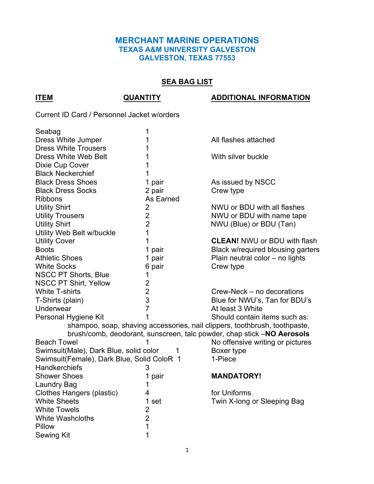### **MERCHANT MARINE OPERATIONS TEXAS A&M UNIVERSITY GALVESTON GALVESTON, TEXAS 77553**

## **SEA BAG LIST**

#### **ITEM QUANTITY ADDITIONAL INFORMATION**

Current ID Card / Personnel Jacket w/orders

| Seabag                                                                 | 1              |                                                                            |  |  |
|------------------------------------------------------------------------|----------------|----------------------------------------------------------------------------|--|--|
| Dress White Jumper                                                     | 1              | All flashes attached                                                       |  |  |
| <b>Dress White Trousers</b>                                            | 1              |                                                                            |  |  |
| <b>Dress White Web Belt</b>                                            | 1              | With silver buckle                                                         |  |  |
| Dixie Cup Cover                                                        | 1              |                                                                            |  |  |
| <b>Black Neckerchief</b>                                               | 1              |                                                                            |  |  |
| <b>Black Dress Shoes</b>                                               | 1 pair         | As issued by NSCC                                                          |  |  |
| <b>Black Dress Socks</b>                                               | 2 pair         | Crew type                                                                  |  |  |
| <b>Ribbons</b>                                                         | As Earned      |                                                                            |  |  |
| <b>Utility Shirt</b>                                                   | $\overline{2}$ | NWU or BDU with all flashes                                                |  |  |
| <b>Utility Trousers</b>                                                | $\overline{2}$ | NWU or BDU with name tape                                                  |  |  |
| <b>Utility Shirt</b>                                                   | $\overline{2}$ | NWU (Blue) or BDU (Tan)                                                    |  |  |
| Utility Web Belt w/buckle                                              | 1              |                                                                            |  |  |
| <b>Utility Cover</b>                                                   | 1              | <b>CLEAN! NWU or BDU with flash</b>                                        |  |  |
| <b>Boots</b>                                                           | 1 pair         | Black w/required blousing garters                                          |  |  |
| <b>Athletic Shoes</b>                                                  | 1 pair         | Plain neutral color - no lights                                            |  |  |
| <b>White Socks</b>                                                     | 6 pair         | Crew type                                                                  |  |  |
| <b>NSCC PT Shorts, Blue</b>                                            | 1              |                                                                            |  |  |
| <b>NSCC PT Shirt, Yellow</b>                                           | $\overline{2}$ |                                                                            |  |  |
| <b>White T-shirts</b>                                                  | $\overline{2}$ | Crew-Neck – no decorations                                                 |  |  |
| T-Shirts (plain)                                                       | 3              | Blue for NWU's, Tan for BDU's                                              |  |  |
| Underwear                                                              | $\overline{7}$ | At least 3 White                                                           |  |  |
| Personal Hygiene Kit                                                   | 1              | Should contain items such as:                                              |  |  |
|                                                                        |                | shampoo, soap, shaving accessories, nail clippers, toothbrush, toothpaste, |  |  |
| brush/comb, deodorant, sunscreen, talc powder, chap stick -NO Aerosols |                |                                                                            |  |  |
| <b>Beach Towel</b>                                                     |                | No offensive writing or pictures                                           |  |  |
| Swimsuit(Male), Dark Blue, solid color<br>1                            |                | Boxer type                                                                 |  |  |
| Swimsuit(Female), Dark Blue, Solid ColoR 1                             |                | 1-Piece                                                                    |  |  |
| <b>Handkerchiefs</b>                                                   | 3              |                                                                            |  |  |
| <b>Shower Shoes</b>                                                    | 1 pair         | <b>MANDATORY!</b>                                                          |  |  |
| <b>Laundry Bag</b>                                                     | 1              |                                                                            |  |  |
| Clothes Hangers (plastic)                                              | 4              | for Uniforms                                                               |  |  |
| <b>White Sheets</b>                                                    | 1 set          | Twin X-long or Sleeping Bag                                                |  |  |
| <b>White Towels</b>                                                    | $\overline{2}$ |                                                                            |  |  |
| <b>White Washcloths</b>                                                | $\overline{2}$ |                                                                            |  |  |
| Pillow                                                                 | 1              |                                                                            |  |  |
| <b>Sewing Kit</b>                                                      | 1              |                                                                            |  |  |